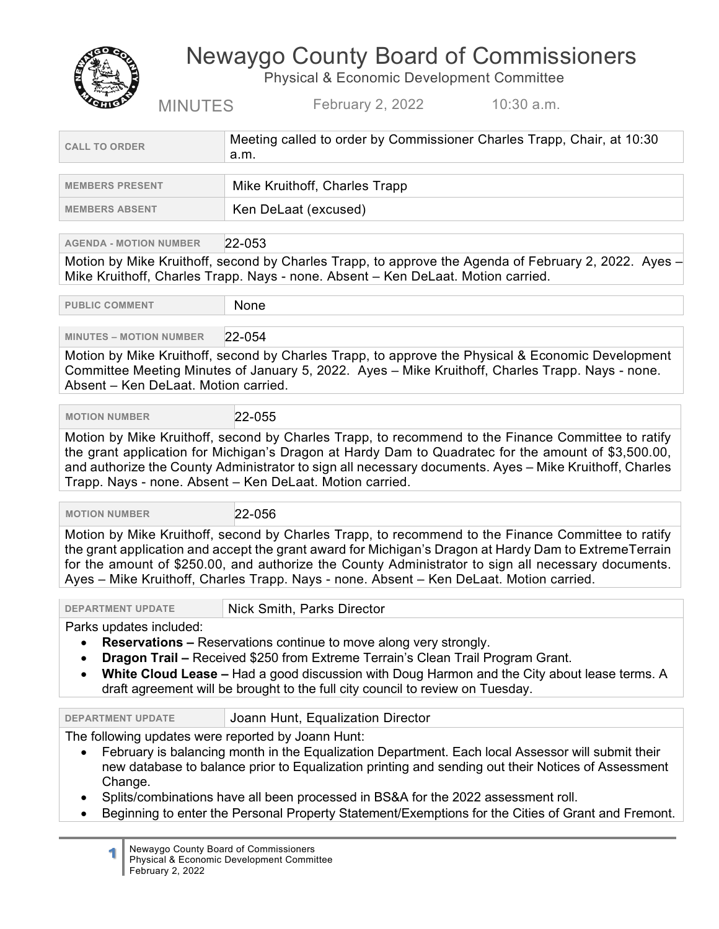Newaygo County Board of Commissioners Physical & Economic Development Committee



MINUTES February 2, 2022 10:30 a.m.

|                                                                                                                                                                                                                                                                                                                                                                                                                                                                                  | a.m.                                                                                                                                                                                                                                                                                                                                                                                                          |
|----------------------------------------------------------------------------------------------------------------------------------------------------------------------------------------------------------------------------------------------------------------------------------------------------------------------------------------------------------------------------------------------------------------------------------------------------------------------------------|---------------------------------------------------------------------------------------------------------------------------------------------------------------------------------------------------------------------------------------------------------------------------------------------------------------------------------------------------------------------------------------------------------------|
| <b>MEMBERS PRESENT</b>                                                                                                                                                                                                                                                                                                                                                                                                                                                           | Mike Kruithoff, Charles Trapp                                                                                                                                                                                                                                                                                                                                                                                 |
| <b>MEMBERS ABSENT</b>                                                                                                                                                                                                                                                                                                                                                                                                                                                            | Ken DeLaat (excused)                                                                                                                                                                                                                                                                                                                                                                                          |
| <b>AGENDA - MOTION NUMBER</b>                                                                                                                                                                                                                                                                                                                                                                                                                                                    | $ 22 - 053 $                                                                                                                                                                                                                                                                                                                                                                                                  |
|                                                                                                                                                                                                                                                                                                                                                                                                                                                                                  | Motion by Mike Kruithoff, second by Charles Trapp, to approve the Agenda of February 2, 2022. Ayes $-$                                                                                                                                                                                                                                                                                                        |
|                                                                                                                                                                                                                                                                                                                                                                                                                                                                                  | Mike Kruithoff, Charles Trapp. Nays - none. Absent - Ken DeLaat. Motion carried.                                                                                                                                                                                                                                                                                                                              |
| <b>PUBLIC COMMENT</b>                                                                                                                                                                                                                                                                                                                                                                                                                                                            | None                                                                                                                                                                                                                                                                                                                                                                                                          |
| <b>MINUTES - MOTION NUMBER</b>                                                                                                                                                                                                                                                                                                                                                                                                                                                   | 22-054                                                                                                                                                                                                                                                                                                                                                                                                        |
| Absent - Ken DeLaat. Motion carried.                                                                                                                                                                                                                                                                                                                                                                                                                                             | Motion by Mike Kruithoff, second by Charles Trapp, to approve the Physical & Economic Development<br>Committee Meeting Minutes of January 5, 2022. Ayes - Mike Kruithoff, Charles Trapp. Nays - none.                                                                                                                                                                                                         |
| <b>MOTION NUMBER</b>                                                                                                                                                                                                                                                                                                                                                                                                                                                             | 22-055                                                                                                                                                                                                                                                                                                                                                                                                        |
|                                                                                                                                                                                                                                                                                                                                                                                                                                                                                  | Motion by Mike Kruithoff, second by Charles Trapp, to recommend to the Finance Committee to ratify<br>the grant application for Michigan's Dragon at Hardy Dam to Quadratec for the amount of \$3,500.00,<br>and authorize the County Administrator to sign all necessary documents. Ayes - Mike Kruithoff, Charles<br>Trapp. Nays - none. Absent - Ken DeLaat. Motion carried.                               |
| <b>MOTION NUMBER</b>                                                                                                                                                                                                                                                                                                                                                                                                                                                             | 22-056                                                                                                                                                                                                                                                                                                                                                                                                        |
|                                                                                                                                                                                                                                                                                                                                                                                                                                                                                  | Motion by Mike Kruithoff, second by Charles Trapp, to recommend to the Finance Committee to ratify<br>the grant application and accept the grant award for Michigan's Dragon at Hardy Dam to ExtremeTerrain<br>for the amount of \$250.00, and authorize the County Administrator to sign all necessary documents.<br>Ayes - Mike Kruithoff, Charles Trapp. Nays - none. Absent - Ken DeLaat. Motion carried. |
| <b>DEPARTMENT UPDATE</b>                                                                                                                                                                                                                                                                                                                                                                                                                                                         | Nick Smith, Parks Director                                                                                                                                                                                                                                                                                                                                                                                    |
| Parks updates included:<br><b>Reservations – Reservations continue to move along very strongly.</b><br>$\bullet$<br>Dragon Trail - Received \$250 from Extreme Terrain's Clean Trail Program Grant.<br>White Cloud Lease - Had a good discussion with Doug Harmon and the City about lease terms. A<br>draft agreement will be brought to the full city council to review on Tuesday.                                                                                            |                                                                                                                                                                                                                                                                                                                                                                                                               |
| <b>DEPARTMENT UPDATE</b>                                                                                                                                                                                                                                                                                                                                                                                                                                                         | Joann Hunt, Equalization Director                                                                                                                                                                                                                                                                                                                                                                             |
| The following updates were reported by Joann Hunt:<br>February is balancing month in the Equalization Department. Each local Assessor will submit their<br>$\bullet$<br>new database to balance prior to Equalization printing and sending out their Notices of Assessment<br>Change.<br>Splits/combinations have all been processed in BS&A for the 2022 assessment roll.<br>Beginning to enter the Personal Property Statement/Exemptions for the Cities of Grant and Fremont. |                                                                                                                                                                                                                                                                                                                                                                                                               |

**1** Newaygo County Board of Commissioners Physical & Economic Development Committee February 2, 2022